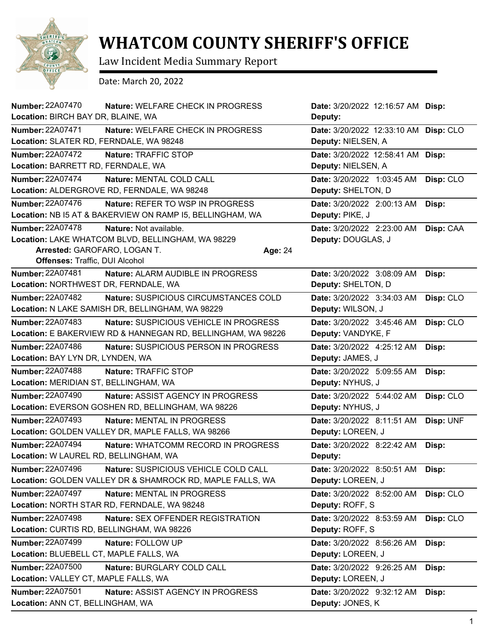

## **WHATCOM COUNTY SHERIFF'S OFFICE**

Law Incident Media Summary Report

Date: March 20, 2022

| Number: 22A07470                                                                          | Nature: WELFARE CHECK IN PROGRESS                                                                      |         | Date: 3/20/2022 12:16:57 AM Disp:                           |           |
|-------------------------------------------------------------------------------------------|--------------------------------------------------------------------------------------------------------|---------|-------------------------------------------------------------|-----------|
| Location: BIRCH BAY DR, BLAINE, WA                                                        |                                                                                                        |         | Deputy:                                                     |           |
| <b>Number: 22A07471</b><br>Location: SLATER RD, FERNDALE, WA 98248                        | Nature: WELFARE CHECK IN PROGRESS                                                                      |         | Date: 3/20/2022 12:33:10 AM Disp: CLO<br>Deputy: NIELSEN, A |           |
| <b>Number: 22A07472</b><br>Location: BARRETT RD, FERNDALE, WA                             | Nature: TRAFFIC STOP                                                                                   |         | Date: 3/20/2022 12:58:41 AM<br>Deputy: NIELSEN, A           | Disp:     |
| <b>Number: 22A07474</b>                                                                   | Nature: MENTAL COLD CALL                                                                               |         | Date: 3/20/2022 1:03:45 AM                                  | Disp: CLO |
|                                                                                           | Location: ALDERGROVE RD, FERNDALE, WA 98248                                                            |         | Deputy: SHELTON, D                                          |           |
| <b>Number: 22A07476</b>                                                                   | Nature: REFER TO WSP IN PROGRESS                                                                       |         | Date: 3/20/2022 2:00:13 AM                                  | Disp:     |
|                                                                                           | Location: NB I5 AT & BAKERVIEW ON RAMP I5, BELLINGHAM, WA                                              |         | Deputy: PIKE, J                                             |           |
| <b>Number: 22A07478</b><br>Arrested: GAROFARO, LOGAN T.<br>Offenses: Traffic, DUI Alcohol | Nature: Not available.<br>Location: LAKE WHATCOM BLVD, BELLINGHAM, WA 98229                            | Age: 24 | Date: 3/20/2022 2:23:00 AM<br>Deputy: DOUGLAS, J            | Disp: CAA |
| <b>Number: 22A07481</b><br>Location: NORTHWEST DR, FERNDALE, WA                           | Nature: ALARM AUDIBLE IN PROGRESS                                                                      |         | Date: 3/20/2022 3:08:09 AM<br>Deputy: SHELTON, D            | Disp:     |
| <b>Number: 22A07482</b>                                                                   | Nature: SUSPICIOUS CIRCUMSTANCES COLD<br>Location: N LAKE SAMISH DR, BELLINGHAM, WA 98229              |         | Date: 3/20/2022 3:34:03 AM<br>Deputy: WILSON, J             | Disp: CLO |
| <b>Number: 22A07483</b>                                                                   | Nature: SUSPICIOUS VEHICLE IN PROGRESS<br>Location: E BAKERVIEW RD & HANNEGAN RD, BELLINGHAM, WA 98226 |         | Date: 3/20/2022 3:45:46 AM<br>Deputy: VANDYKE, F            | Disp: CLO |
| <b>Number: 22A07486</b><br>Location: BAY LYN DR, LYNDEN, WA                               | Nature: SUSPICIOUS PERSON IN PROGRESS                                                                  |         | Date: 3/20/2022 4:25:12 AM<br>Deputy: JAMES, J              | Disp:     |
| <b>Number: 22A07488</b>                                                                   | Nature: TRAFFIC STOP                                                                                   |         | Date: 3/20/2022 5:09:55 AM                                  | Disp:     |
| Location: MERIDIAN ST, BELLINGHAM, WA                                                     |                                                                                                        |         | Deputy: NYHUS, J                                            |           |
| Number: 22A07490                                                                          | Nature: ASSIST AGENCY IN PROGRESS<br>Location: EVERSON GOSHEN RD, BELLINGHAM, WA 98226                 |         | Date: 3/20/2022 5:44:02 AM<br>Deputy: NYHUS, J              | Disp: CLO |
| <b>Number: 22A07493</b>                                                                   | <b>Nature: MENTAL IN PROGRESS</b><br>Location: GOLDEN VALLEY DR, MAPLE FALLS, WA 98266                 |         | Date: 3/20/2022 8:11:51 AM<br>Deputy: LOREEN, J             | Disp: UNF |
| <b>Number: 22A07494</b><br><b>Location: W LAUREL RD, BELLINGHAM, WA</b>                   | Nature: WHATCOMM RECORD IN PROGRESS                                                                    |         | Date: 3/20/2022 8:22:42 AM<br>Deputy:                       | Disp:     |
| <b>Number: 22A07496</b>                                                                   | Nature: SUSPICIOUS VEHICLE COLD CALL<br>Location: GOLDEN VALLEY DR & SHAMROCK RD, MAPLE FALLS, WA      |         | <b>Date:</b> 3/20/2022 8:50:51 AM<br>Deputy: LOREEN, J      | Disp:     |
| <b>Number: 22A07497</b>                                                                   | Nature: MENTAL IN PROGRESS<br>Location: NORTH STAR RD, FERNDALE, WA 98248                              |         | Date: 3/20/2022 8:52:00 AM<br>Deputy: ROFF, S               | Disp: CLO |
| <b>Number: 22A07498</b><br>Location: CURTIS RD, BELLINGHAM, WA 98226                      | <b>Nature: SEX OFFENDER REGISTRATION</b>                                                               |         | Date: 3/20/2022 8:53:59 AM<br>Deputy: ROFF, S               | Disp: CLO |
| Number: 22A07499<br>Location: BLUEBELL CT, MAPLE FALLS, WA                                | Nature: FOLLOW UP                                                                                      |         | Date: 3/20/2022 8:56:26 AM<br>Deputy: LOREEN, J             | Disp:     |
| <b>Number: 22A07500</b><br>Location: VALLEY CT, MAPLE FALLS, WA                           | Nature: BURGLARY COLD CALL                                                                             |         | Date: 3/20/2022 9:26:25 AM<br>Deputy: LOREEN, J             | Disp:     |
| Number: 22A07501<br>Location: ANN CT, BELLINGHAM, WA                                      | Nature: ASSIST AGENCY IN PROGRESS                                                                      |         | Date: 3/20/2022 9:32:12 AM<br>Deputy: JONES, K              | Disp:     |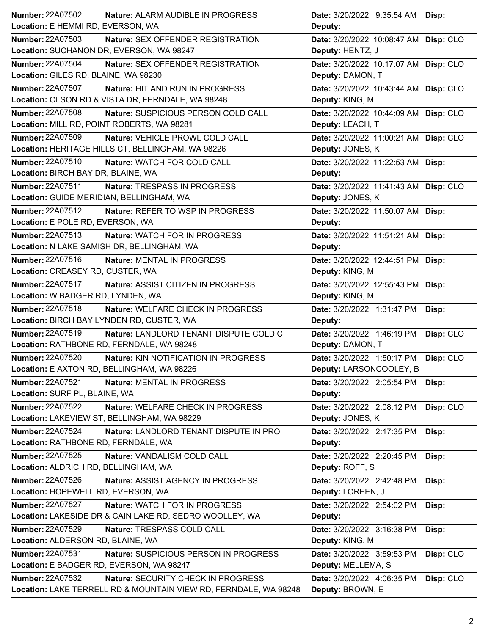| Number: 22A07502<br>Nature: ALARM AUDIBLE IN PROGRESS               | Date: 3/20/2022 9:35:54 AM Disp:        |
|---------------------------------------------------------------------|-----------------------------------------|
| Location: E HEMMI RD, EVERSON, WA                                   | Deputy:                                 |
| <b>Number: 22A07503</b><br><b>Nature: SEX OFFENDER REGISTRATION</b> | Date: 3/20/2022 10:08:47 AM Disp: CLO   |
| Location: SUCHANON DR, EVERSON, WA 98247                            | Deputy: HENTZ, J                        |
| Number: 22A07504<br>Nature: SEX OFFENDER REGISTRATION               | Date: 3/20/2022 10:17:07 AM Disp: CLO   |
| Location: GILES RD, BLAINE, WA 98230                                | Deputy: DAMON, T                        |
| Number: 22A07507<br>Nature: HIT AND RUN IN PROGRESS                 | Date: 3/20/2022 10:43:44 AM Disp: CLO   |
| Location: OLSON RD & VISTA DR, FERNDALE, WA 98248                   | Deputy: KING, M                         |
| Number: 22A07508<br>Nature: SUSPICIOUS PERSON COLD CALL             | Date: 3/20/2022 10:44:09 AM Disp: CLO   |
| Location: MILL RD, POINT ROBERTS, WA 98281                          | Deputy: LEACH, T                        |
| Number: 22A07509<br>Nature: VEHICLE PROWL COLD CALL                 | Date: 3/20/2022 11:00:21 AM Disp: CLO   |
| Location: HERITAGE HILLS CT, BELLINGHAM, WA 98226                   | Deputy: JONES, K                        |
| Number: 22A07510<br>Nature: WATCH FOR COLD CALL                     | Date: 3/20/2022 11:22:53 AM Disp:       |
| Location: BIRCH BAY DR, BLAINE, WA                                  | Deputy:                                 |
| Number: 22A07511<br>Nature: TRESPASS IN PROGRESS                    | Date: 3/20/2022 11:41:43 AM Disp: CLO   |
| Location: GUIDE MERIDIAN, BELLINGHAM, WA                            | Deputy: JONES, K                        |
| Number: 22A07512<br>Nature: REFER TO WSP IN PROGRESS                | Date: 3/20/2022 11:50:07 AM Disp:       |
| Location: E POLE RD, EVERSON, WA                                    | Deputy:                                 |
| Number: 22A07513<br>Nature: WATCH FOR IN PROGRESS                   | Date: 3/20/2022 11:51:21 AM Disp:       |
| Location: N LAKE SAMISH DR, BELLINGHAM, WA                          | Deputy:                                 |
| Number: 22A07516<br>Nature: MENTAL IN PROGRESS                      | Date: 3/20/2022 12:44:51 PM Disp:       |
| Location: CREASEY RD, CUSTER, WA                                    | Deputy: KING, M                         |
| Number: 22A07517<br>Nature: ASSIST CITIZEN IN PROGRESS              | Date: 3/20/2022 12:55:43 PM Disp:       |
| Location: W BADGER RD, LYNDEN, WA                                   | Deputy: KING, M                         |
| Number: 22A07518<br>Nature: WELFARE CHECK IN PROGRESS               | Date: 3/20/2022 1:31:47 PM<br>Disp:     |
| Location: BIRCH BAY LYNDEN RD, CUSTER, WA                           | Deputy:                                 |
| Number: 22A07519<br>Nature: LANDLORD TENANT DISPUTE COLD C          | Date: 3/20/2022 1:46:19 PM Disp: CLO    |
| Location: RATHBONE RD, FERNDALE, WA 98248                           | Deputy: DAMON, T                        |
| Number: 22A07520<br><b>Nature: KIN NOTIFICATION IN PROGRESS</b>     | Date: 3/20/2022 1:50:17 PM Disp: CLO    |
| Location: E AXTON RD, BELLINGHAM, WA 98226                          | Deputy: LARSONCOOLEY, B                 |
| Number: 22A07521<br>Nature: MENTAL IN PROGRESS                      | Date: 3/20/2022 2:05:54 PM<br>Disp:     |
| Location: SURF PL, BLAINE, WA                                       | Deputy:                                 |
| Number: 22A07522<br>Nature: WELFARE CHECK IN PROGRESS               | Disp: CLO<br>Date: 3/20/2022 2:08:12 PM |
| Location: LAKEVIEW ST, BELLINGHAM, WA 98229                         | Deputy: JONES, K                        |
| <b>Number: 22A07524</b><br>Nature: LANDLORD TENANT DISPUTE IN PRO   | Date: 3/20/2022 2:17:35 PM<br>Disp:     |
| Location: RATHBONE RD, FERNDALE, WA                                 | Deputy:                                 |
| <b>Number: 22A07525</b><br>Nature: VANDALISM COLD CALL              | Date: 3/20/2022 2:20:45 PM<br>Disp:     |
| Location: ALDRICH RD, BELLINGHAM, WA                                | Deputy: ROFF, S                         |
| Number: 22A07526<br>Nature: ASSIST AGENCY IN PROGRESS               | Date: 3/20/2022 2:42:48 PM<br>Disp:     |
| Location: HOPEWELL RD, EVERSON, WA                                  | Deputy: LOREEN, J                       |
| <b>Number: 22A07527</b><br><b>Nature: WATCH FOR IN PROGRESS</b>     | Date: 3/20/2022 2:54:02 PM<br>Disp:     |
| Location: LAKESIDE DR & CAIN LAKE RD, SEDRO WOOLLEY, WA             | Deputy:                                 |
| <b>Number: 22A07529</b><br>Nature: TRESPASS COLD CALL               | Date: 3/20/2022 3:16:38 PM<br>Disp:     |
| Location: ALDERSON RD, BLAINE, WA                                   | Deputy: KING, M                         |
| <b>Number: 22A07531</b><br>Nature: SUSPICIOUS PERSON IN PROGRESS    | Date: 3/20/2022 3:59:53 PM<br>Disp: CLO |
| Location: E BADGER RD, EVERSON, WA 98247                            | Deputy: MELLEMA, S                      |
| Number: 22A07532<br>Nature: SECURITY CHECK IN PROGRESS              | Date: 3/20/2022 4:06:35 PM<br>Disp: CLO |
| Location: LAKE TERRELL RD & MOUNTAIN VIEW RD, FERNDALE, WA 98248    | Deputy: BROWN, E                        |
|                                                                     |                                         |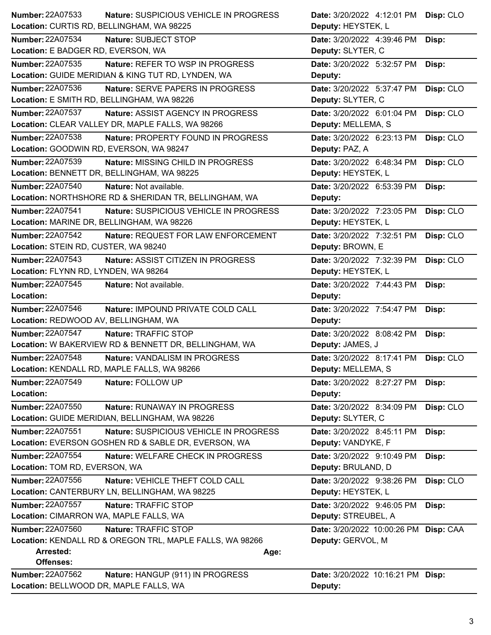| <b>Number: 22A07533</b><br>Nature: SUSPICIOUS VEHICLE IN PROGRESS  | Date: 3/20/2022 4:12:01 PM<br>Disp: CLO |
|--------------------------------------------------------------------|-----------------------------------------|
| Location: CURTIS RD, BELLINGHAM, WA 98225                          | Deputy: HEYSTEK, L                      |
| <b>Number: 22A07534</b><br>Nature: SUBJECT STOP                    | Date: 3/20/2022 4:39:46 PM<br>Disp:     |
| Location: E BADGER RD, EVERSON, WA                                 | Deputy: SLYTER, C                       |
| Number: 22A07535<br>Nature: REFER TO WSP IN PROGRESS               | Date: 3/20/2022 5:32:57 PM<br>Disp:     |
| Location: GUIDE MERIDIAN & KING TUT RD, LYNDEN, WA                 | Deputy:                                 |
| <b>Number: 22A07536</b><br><b>Nature: SERVE PAPERS IN PROGRESS</b> | Disp: CLO<br>Date: 3/20/2022 5:37:47 PM |
| Location: E SMITH RD, BELLINGHAM, WA 98226                         | Deputy: SLYTER, C                       |
| Number: 22A07537<br>Nature: ASSIST AGENCY IN PROGRESS              | Date: 3/20/2022 6:01:04 PM<br>Disp: CLO |
| Location: CLEAR VALLEY DR, MAPLE FALLS, WA 98266                   | Deputy: MELLEMA, S                      |
| <b>Number: 22A07538</b><br>Nature: PROPERTY FOUND IN PROGRESS      | Date: 3/20/2022 6:23:13 PM<br>Disp: CLO |
| Location: GOODWIN RD, EVERSON, WA 98247                            | Deputy: PAZ, A                          |
| <b>Number: 22A07539</b><br>Nature: MISSING CHILD IN PROGRESS       | Date: 3/20/2022 6:48:34 PM<br>Disp: CLO |
| Location: BENNETT DR, BELLINGHAM, WA 98225                         | Deputy: HEYSTEK, L                      |
| Number: 22A07540<br>Nature: Not available.                         | Date: 3/20/2022 6:53:39 PM<br>Disp:     |
| Location: NORTHSHORE RD & SHERIDAN TR, BELLINGHAM, WA              | Deputy:                                 |
| <b>Number: 22A07541</b><br>Nature: SUSPICIOUS VEHICLE IN PROGRESS  | Date: 3/20/2022 7:23:05 PM<br>Disp: CLO |
| Location: MARINE DR, BELLINGHAM, WA 98226                          | Deputy: HEYSTEK, L                      |
| Number: 22A07542<br>Nature: REQUEST FOR LAW ENFORCEMENT            | Date: 3/20/2022 7:32:51 PM<br>Disp: CLO |
| Location: STEIN RD, CUSTER, WA 98240                               | Deputy: BROWN, E                        |
| Number: 22A07543<br>Nature: ASSIST CITIZEN IN PROGRESS             | Disp: CLO<br>Date: 3/20/2022 7:32:39 PM |
| Location: FLYNN RD, LYNDEN, WA 98264                               | Deputy: HEYSTEK, L                      |
| Number: 22A07545<br>Nature: Not available.                         | Date: 3/20/2022 7:44:43 PM<br>Disp:     |
| Location:                                                          | Deputy:                                 |
| Number: 22A07546<br>Nature: IMPOUND PRIVATE COLD CALL              | Date: 3/20/2022 7:54:47 PM<br>Disp:     |
| Location: REDWOOD AV, BELLINGHAM, WA                               | Deputy:                                 |
| <b>Number: 22A07547</b><br>Nature: TRAFFIC STOP                    | Disp:<br>Date: 3/20/2022 8:08:42 PM     |
| Location: W BAKERVIEW RD & BENNETT DR, BELLINGHAM, WA              | Deputy: JAMES, J                        |
| <b>Number: 22A07548</b><br>Nature: VANDALISM IN PROGRESS           | Date: 3/20/2022 8:17:41 PM<br>Disp: CLO |
| Location: KENDALL RD, MAPLE FALLS, WA 98266                        | Deputy: MELLEMA, S                      |
| <b>Number: 22A07549</b><br>Nature: FOLLOW UP                       | Date: 3/20/2022 8:27:27 PM<br>Disp:     |
| Location:                                                          | Deputy:                                 |
| <b>Number: 22A07550</b><br>Nature: RUNAWAY IN PROGRESS             | Disp: CLO<br>Date: 3/20/2022 8:34:09 PM |
| Location: GUIDE MERIDIAN, BELLINGHAM, WA 98226                     | Deputy: SLYTER, C                       |
| <b>Number: 22A07551</b><br>Nature: SUSPICIOUS VEHICLE IN PROGRESS  | Date: 3/20/2022 8:45:11 PM<br>Disp:     |
| Location: EVERSON GOSHEN RD & SABLE DR, EVERSON, WA                | Deputy: VANDYKE, F                      |
| Number: 22A07554<br>Nature: WELFARE CHECK IN PROGRESS              | Date: 3/20/2022 9:10:49 PM<br>Disp:     |
| Location: TOM RD, EVERSON, WA                                      | Deputy: BRULAND, D                      |
| Number: 22A07556<br>Nature: VEHICLE THEFT COLD CALL                | Date: 3/20/2022 9:38:26 PM<br>Disp: CLO |
|                                                                    |                                         |
|                                                                    |                                         |
| Location: CANTERBURY LN, BELLINGHAM, WA 98225                      | Deputy: HEYSTEK, L                      |
| <b>Number: 22A07557</b><br>Nature: TRAFFIC STOP                    | Date: 3/20/2022 9:46:05 PM<br>Disp:     |
| Location: CIMARRON WA, MAPLE FALLS, WA                             | Deputy: STREUBEL, A                     |
| Number: 22A07560<br>Nature: TRAFFIC STOP                           | Date: 3/20/2022 10:00:26 PM Disp: CAA   |
| Location: KENDALL RD & OREGON TRL, MAPLE FALLS, WA 98266           | Deputy: GERVOL, M                       |
| <b>Arrested:</b><br>Age:<br><b>Offenses:</b>                       |                                         |
| <b>Number: 22A07562</b><br>Nature: HANGUP (911) IN PROGRESS        | Date: 3/20/2022 10:16:21 PM Disp:       |